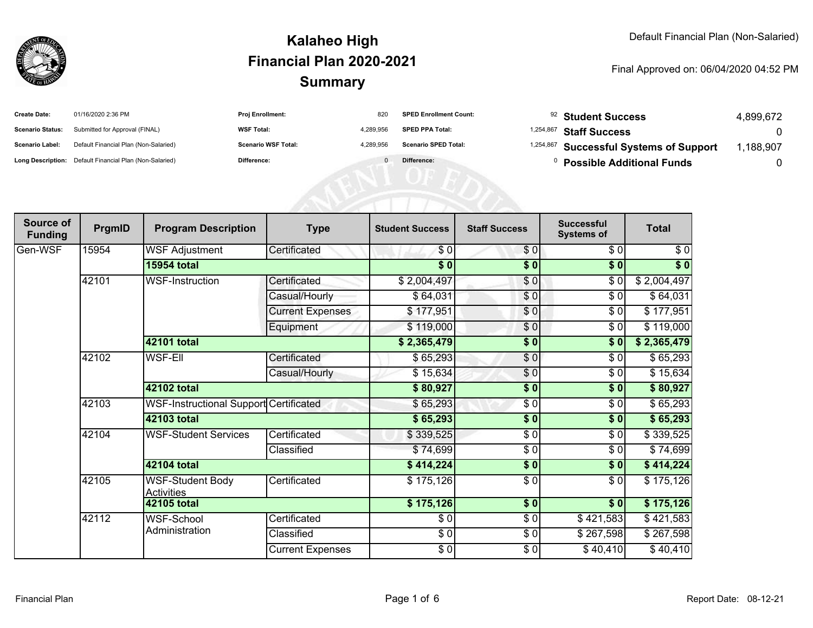

| <b>Create Date:</b>     | 01/16/2020 2:36 PM                                      | Proj Enrollment:           | 820       | <b>SPED Enrollment Count:</b> | <sup>92</sup> Student Success           | 4,899,672 |
|-------------------------|---------------------------------------------------------|----------------------------|-----------|-------------------------------|-----------------------------------------|-----------|
| <b>Scenario Status:</b> | Submitted for Approval (FINAL)                          | <b>WSF Total:</b>          | 4,289,956 | <b>SPED PPA Total:</b>        | <sup>1,254,867</sup> Staff Success      |           |
| Scenario Label:         | Default Financial Plan (Non-Salaried)                   | <b>Scenario WSF Total:</b> | 4,289,956 | <b>Scenario SPED Total:</b>   | 1,254,867 Successful Systems of Support | ,188,907  |
|                         | Long Description: Default Financial Plan (Non-Salaried) | Difference:                |           | Difference:                   | <b>Possible Additional Funds</b>        |           |
|                         |                                                         |                            |           |                               |                                         |           |
|                         |                                                         |                            |           |                               |                                         |           |
|                         |                                                         |                            |           |                               |                                         |           |

| Source of<br><b>Funding</b> | PrgmID | <b>Program Description</b>                    | <b>Type</b>             | <b>Student Success</b> | <b>Staff Success</b> | <b>Successful</b><br><b>Systems of</b> | <b>Total</b> |
|-----------------------------|--------|-----------------------------------------------|-------------------------|------------------------|----------------------|----------------------------------------|--------------|
| Gen-WSF                     | 15954  | <b>WSF Adjustment</b>                         | Certificated            | \$0                    | \$0                  | \$0                                    | \$0          |
|                             |        | <b>15954 total</b>                            |                         | $\sqrt{6}$             | \$0                  | \$0                                    | $\sqrt[6]{}$ |
|                             | 42101  | <b>WSF-Instruction</b>                        | Certificated            | \$2,004,497            | $\frac{6}{3}$        | $\frac{6}{6}$                          | \$2,004,497  |
|                             |        |                                               | Casual/Hourly           | \$64,031               | \$0                  | $\sqrt{6}$                             | \$64,031     |
|                             |        |                                               | <b>Current Expenses</b> | \$177,951              | \$0                  | \$0                                    | \$177,951    |
|                             |        |                                               | Equipment               | \$119,000              | $\frac{6}{3}$        | \$0                                    | \$119,000    |
|                             |        | 42101 total                                   |                         | \$2,365,479            | $\frac{1}{2}$        | \$0                                    | \$2,365,479  |
|                             | 42102  | <b>WSF-EII</b>                                | Certificated            | \$65,293               | \$0                  | \$0                                    | \$65,293     |
|                             |        |                                               | Casual/Hourly           | \$15,634               | \$0                  | \$0                                    | \$15,634     |
|                             |        | 42102 total                                   |                         | \$80,927               | $\frac{1}{2}$        | \$0                                    | \$80,927     |
|                             | 42103  | <b>WSF-Instructional Support Certificated</b> |                         | \$65,293               | $\frac{3}{2}$        | \$0                                    | \$65,293     |
|                             |        | 42103 total                                   |                         | \$65,293               | \$0                  | \$0                                    | \$65,293     |
|                             | 42104  | <b>WSF-Student Services</b>                   | Certificated            | \$339,525              | \$0                  | \$0                                    | \$339,525    |
|                             |        |                                               | Classified              | \$74,699               | \$0                  | \$0                                    | \$74,699     |
|                             |        | 42104 total                                   |                         | \$414,224              | \$0                  | \$0                                    | \$414,224    |
|                             | 42105  | <b>WSF-Student Body</b><br><b>Activities</b>  | Certificated            | \$175,126              | \$0                  | \$0                                    | \$175,126    |
|                             |        | 42105 total                                   |                         | \$175,126              | $\overline{\$0}$     | $\sqrt{50}$                            | \$175,126    |
|                             | 42112  | WSF-School                                    | Certificated            | \$0]                   | $\frac{1}{\sqrt{2}}$ | \$421,583                              | \$421,583    |
|                             |        | Administration                                | Classified              | \$0                    | $\frac{6}{6}$        | \$267,598                              | \$267,598    |
|                             |        |                                               | <b>Current Expenses</b> | \$0                    | \$0                  | \$40,410                               | \$40,410     |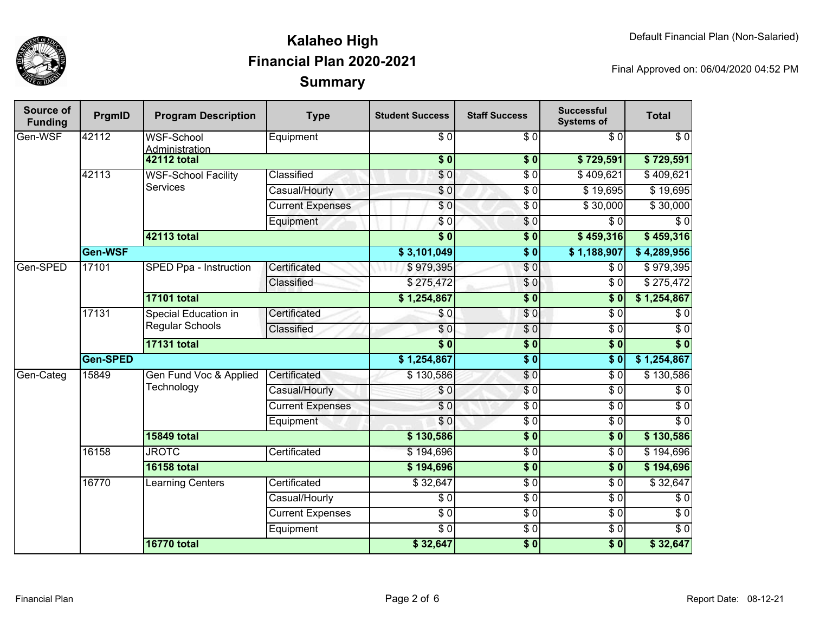

| <b>Source of</b><br><b>Funding</b> | PrgmID   | <b>Program Description</b>                     | <b>Type</b>             | <b>Student Success</b>  | <b>Staff Success</b>     | <b>Successful</b><br><b>Systems of</b> | <b>Total</b>     |                  |
|------------------------------------|----------|------------------------------------------------|-------------------------|-------------------------|--------------------------|----------------------------------------|------------------|------------------|
| Gen-WSF                            | 42112    | <b>WSF-School</b><br>Administration            | Equipment               | $\overline{30}$         | $\overline{\$0}$         | $\overline{30}$                        | $\overline{\$0}$ |                  |
|                                    |          | <b>42112 total</b>                             |                         | $\overline{\$0}$        | $\overline{\textbf{50}}$ | \$729,591                              | \$729,591        |                  |
|                                    | 42113    | <b>WSF-School Facility</b><br><b>Services</b>  | Classified              | \$0                     | $\overline{\$0}$         | \$409,621                              | \$409,621        |                  |
|                                    |          |                                                | Casual/Hourly           | $\overline{\$0}$        | $\overline{\$0}$         | \$19,695                               | \$19,695         |                  |
|                                    |          |                                                | <b>Current Expenses</b> | $\overline{\$0}$        | $\sqrt{6}$               | \$30,000                               | \$30,000         |                  |
|                                    |          |                                                | Equipment               | $\sqrt{6}$              | $\sqrt{6}$               | $\overline{\$0}$                       | $\overline{\$0}$ |                  |
|                                    |          | <b>42113 total</b>                             |                         | $\overline{\$0}$        | $\sqrt{6}$               | \$459,316                              | \$459,316        |                  |
|                                    | Gen-WSF  |                                                |                         | \$3,101,049             | $\overline{\$0}$         | \$1,188,907                            | \$4,289,956      |                  |
| Gen-SPED                           | 17101    | SPED Ppa - Instruction                         | Certificated            | \$979,395               | $\overline{\$0}$         | \$0                                    | \$979,395        |                  |
|                                    |          |                                                | Classified              | \$275,472               | $\overline{\$0}$         | $\overline{\$0}$                       | \$275,472        |                  |
|                                    |          | <b>17101 total</b>                             |                         | \$1,254,867             | $\overline{\$0}$         | $\overline{\textbf{S}^0}$              | \$1,254,867      |                  |
|                                    | 17131    | <b>Special Education in</b><br>Regular Schools | Certificated            | \$0                     | $\overline{\$0}$         | $\overline{\$0}$                       | $\overline{\$0}$ |                  |
|                                    |          |                                                | Classified              | $\overline{\$0}$        | $\overline{\$0}$         | $\overline{\$0}$                       | $\overline{\$0}$ |                  |
|                                    |          | <b>17131 total</b>                             |                         | $\overline{\$0}$        | $\sqrt{6}$               | $\overline{\$0}$                       | $\overline{\$0}$ |                  |
|                                    | Gen-SPED |                                                |                         | \$1,254,867             | $\overline{\$0}$         | $\overline{\$0}$                       | \$1,254,867      |                  |
| Gen-Categ                          | 15849    | Gen Fund Voc & Applied                         | Certificated            | \$130,586               | \$0                      | \$0                                    | \$130,586        |                  |
|                                    |          | Technology                                     | Casual/Hourly           | \$0                     | $\overline{\$0}$         | $\overline{\$0}$                       | $\overline{\$0}$ |                  |
|                                    |          |                                                |                         | <b>Current Expenses</b> | $\overline{\$0}$         | $\overline{\$0}$                       | $\overline{\$0}$ | $\overline{\$0}$ |
|                                    |          |                                                | Equipment               | \$0                     | $\overline{$}0$          | $\overline{\$0}$                       | $\overline{\$0}$ |                  |
|                                    |          | <b>15849 total</b>                             |                         | \$130,586               | $\sqrt{6}$               | $\overline{\$0}$                       | \$130,586        |                  |
|                                    | 16158    | <b>JROTC</b>                                   | Certificated            | \$194,696               | $\overline{$}0$          | $\overline{\$0}$                       | \$194,696        |                  |
|                                    |          | <b>16158 total</b>                             |                         | \$194,696               | $\overline{\$0}$         | $\overline{\$0}$                       | \$194,696        |                  |
|                                    | 16770    | Learning Centers                               | Certificated            | \$32,647                | $\overline{\$0}$         | $\overline{\$0}$                       | \$32,647         |                  |
|                                    |          |                                                | Casual/Hourly           | $\overline{\$0}$        | $\overline{\$0}$         | $\overline{\$0}$                       | $\overline{\$0}$ |                  |
|                                    |          |                                                | <b>Current Expenses</b> | $\overline{\$0}$        | $\overline{$}0$          | $\overline{\$0}$                       | $\overline{\$0}$ |                  |
|                                    |          |                                                | Equipment               | $\overline{\$0}$        | $\overline{$}0$          | $\overline{30}$                        | $\overline{\$0}$ |                  |
|                                    |          | <b>16770 total</b>                             |                         | \$32,647                | $\sqrt{6}$               | $\overline{\$0}$                       | \$32,647         |                  |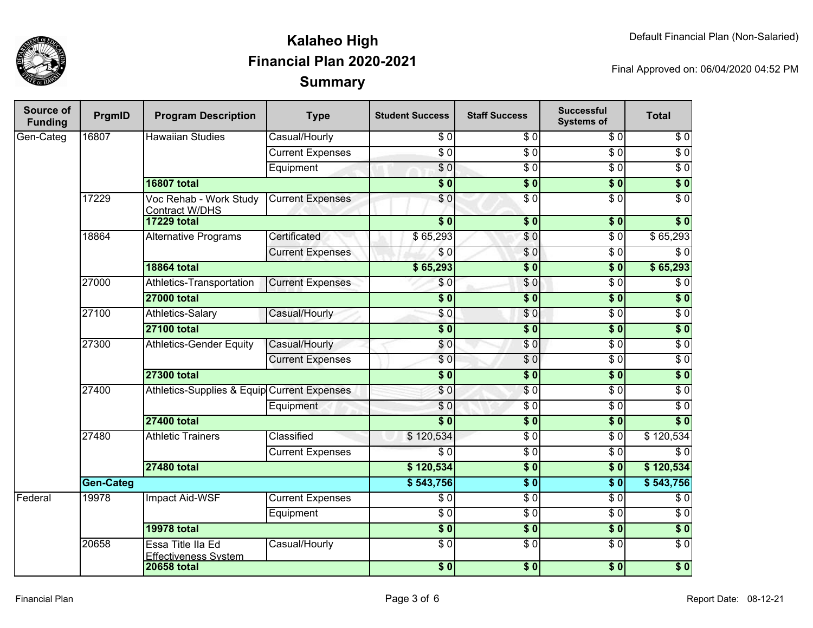

| <b>Source of</b><br><b>Funding</b> | PrgmID           | <b>Program Description</b>                       | <b>Type</b>             | <b>Student Success</b>    | <b>Staff Success</b> | <b>Successful</b><br><b>Systems of</b> | <b>Total</b>     |           |
|------------------------------------|------------------|--------------------------------------------------|-------------------------|---------------------------|----------------------|----------------------------------------|------------------|-----------|
| Gen-Categ                          | 16807            | <b>Hawaiian Studies</b>                          | Casual/Hourly           | \$0                       | $\overline{\$0}$     | \$0                                    | $\sqrt{6}$       |           |
|                                    |                  |                                                  | <b>Current Expenses</b> | $\overline{\$0}$          | $\overline{S}0$      | $\overline{30}$                        | $\overline{60}$  |           |
|                                    |                  |                                                  | Equipment               | $\sqrt{6}$                | $\overline{\$0}$     | $\overline{\$0}$                       | $\sqrt{6}$       |           |
|                                    |                  | <b>16807 total</b>                               |                         | $\overline{\$0}$          | $\overline{\$0}$     | $\overline{\$0}$                       | $\overline{\$0}$ |           |
|                                    | 17229            | Voc Rehab - Work Study<br><b>Contract W/DHS</b>  | <b>Current Expenses</b> | $\overline{\$0}$          | $\sqrt{6}$           | \$0                                    | $\overline{\$0}$ |           |
|                                    |                  | <b>17229 total</b>                               |                         | $\overline{\$0}$          | $\overline{\$0}$     | $\overline{\$0}$                       | $\overline{\$0}$ |           |
|                                    | 18864            | <b>Alternative Programs</b>                      | Certificated            | \$65,293                  | \$0                  | $\overline{\$0}$                       | \$65,293         |           |
|                                    |                  |                                                  | <b>Current Expenses</b> | \$0                       | \$0                  | $\overline{\$0}$                       | $\overline{\$0}$ |           |
|                                    |                  | <b>18864 total</b>                               |                         | \$65,293                  | $\overline{\$0}$     | $\overline{\$0}$                       | \$65,293         |           |
|                                    | 27000            | Athletics-Transportation                         | <b>Current Expenses</b> | \$0                       | $\sqrt{6}$           | $\overline{\$0}$                       | $\overline{\$0}$ |           |
|                                    |                  | <b>27000 total</b>                               |                         | $\overline{\$0}$          | $\overline{\$0}$     | $\overline{\$0}$                       | $\overline{\$0}$ |           |
|                                    | 27100            | Athletics-Salary                                 | Casual/Hourly           | $\overline{\$0}$          | $\sqrt{6}$           | $\overline{\$0}$                       | $\overline{\$0}$ |           |
|                                    |                  | <b>27100 total</b>                               |                         | $\overline{\bullet}$ 0    | $\overline{\$0}$     | $\overline{\$0}$                       | $\overline{\$0}$ |           |
|                                    | 27300            | <b>Athletics-Gender Equity</b>                   | Casual/Hourly           | $\sqrt{6}$                | $\sqrt{0}$           | $\overline{\$0}$                       | $\overline{\$0}$ |           |
|                                    |                  |                                                  | <b>Current Expenses</b> | $\overline{\$0}$          | $\overline{\$0}$     | $\overline{\$0}$                       | $\overline{\$0}$ |           |
|                                    |                  | <b>27300 total</b>                               |                         | $\overline{\textbf{S}^0}$ | $\overline{\$0}$     | $\overline{\$0}$                       | $\overline{\$0}$ |           |
|                                    | 27400            | Athletics-Supplies & Equip Current Expenses      |                         | \$0                       | $\sqrt{6}$           | $\overline{\$0}$                       | $\overline{\$0}$ |           |
|                                    |                  |                                                  | Equipment               | \$0                       | $\overline{\$0}$     | $\overline{\$0}$                       | $\overline{\$0}$ |           |
|                                    |                  | <b>27400 total</b>                               |                         | $\overline{\$0}$          | $\overline{\$0}$     | $\overline{\textbf{S}^0}$              | $\overline{\$0}$ |           |
|                                    | 27480            | <b>Athletic Trainers</b>                         |                         | Classified                | \$120,534            | $\overline{\$0}$                       | $\overline{\$0}$ | \$120,534 |
|                                    |                  |                                                  | <b>Current Expenses</b> | $\overline{\$0}$          | $\overline{\$0}$     | $\overline{\$0}$                       | $\overline{\$0}$ |           |
|                                    |                  | <b>27480 total</b>                               |                         | \$120,534                 | $\overline{\$0}$     | $\overline{\textbf{S}^0}$              | \$120,534        |           |
|                                    | <b>Gen-Categ</b> |                                                  |                         | \$543,756                 | $\overline{\$0}$     | $\overline{\$0}$                       | \$543,756        |           |
| Federal                            | 19978            | Impact Aid-WSF                                   | <b>Current Expenses</b> | \$0                       | $\overline{\$0}$     | $\overline{\$0}$                       | $\overline{\$0}$ |           |
|                                    |                  |                                                  | Equipment               | $\overline{\$0}$          | $\overline{\$0}$     | $\overline{\$0}$                       | $\overline{\$0}$ |           |
|                                    |                  | <b>19978 total</b>                               |                         | $\sqrt{6}$                | \$0                  | $\sqrt{6}$                             | $\overline{\$0}$ |           |
|                                    | 20658            | Essa Title IIa Ed<br><b>Effectiveness System</b> | Casual/Hourly           | $\overline{\$0}$          | $\overline{\$0}$     | $\overline{\$0}$                       | $\overline{\$0}$ |           |
|                                    |                  | <b>20658 total</b>                               |                         | $\overline{\$0}$          | $\frac{1}{2}$        | \$0                                    | $\overline{\$0}$ |           |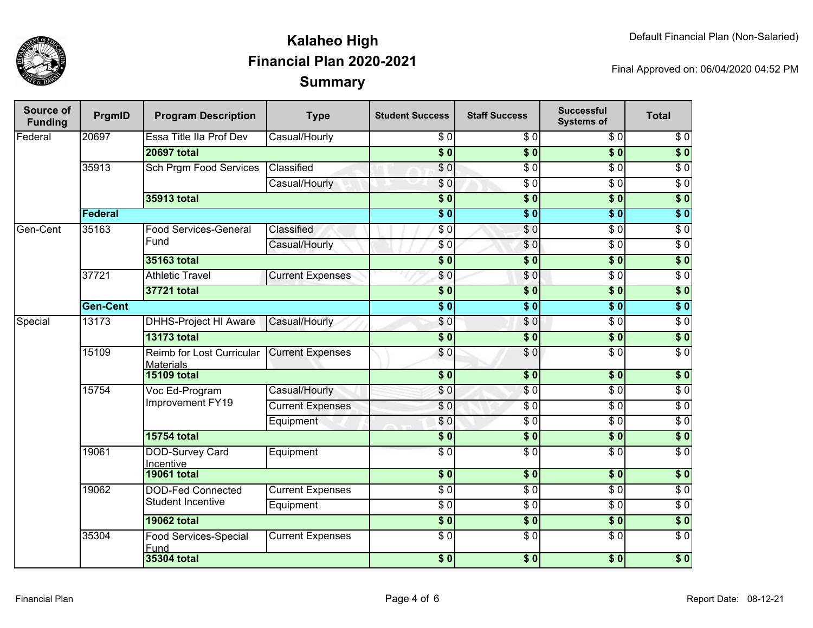

| <b>Source of</b><br><b>Funding</b> | PrgmID          | <b>Program Description</b>                    | <b>Type</b>             | <b>Student Success</b> | <b>Staff Success</b> | <b>Successful</b><br><b>Systems of</b> | <b>Total</b>     |                  |
|------------------------------------|-----------------|-----------------------------------------------|-------------------------|------------------------|----------------------|----------------------------------------|------------------|------------------|
| Federal                            | 20697           | Essa Title IIa Prof Dev                       | Casual/Hourly           | \$0                    | \$0                  | \$0                                    | \$0              |                  |
|                                    |                 | <b>20697 total</b>                            |                         | $\overline{\$0}$       | $\overline{\$0}$     | $\overline{\$0}$                       | $\overline{\$0}$ |                  |
|                                    | 35913           | Sch Prgm Food Services                        | Classified              | $\overline{\$0}$       | $\overline{\$0}$     | $\overline{\$0}$                       | $\overline{50}$  |                  |
|                                    |                 |                                               | Casual/Hourly           | \$0                    | $\overline{30}$      | $\overline{S}0$                        | $\overline{\$0}$ |                  |
|                                    |                 | 35913 total                                   |                         | $\overline{\$0}$       | $\overline{\$0}$     | $\overline{\$0}$                       | $\overline{\$0}$ |                  |
|                                    | Federal         |                                               |                         | $\overline{\$0}$       | $\overline{\$0}$     | $\overline{\$0}$                       | $\overline{\$0}$ |                  |
| Gen-Cent                           | 35163           | <b>Food Services-General</b>                  | Classified              | $\overline{60}$        | \$0                  | $\overline{\$0}$                       | $\overline{30}$  |                  |
|                                    |                 | Fund                                          | Casual/Hourly           | \$0                    | \$0                  | $\overline{\$0}$                       | $\overline{\$0}$ |                  |
|                                    |                 | <b>35163 total</b>                            |                         | $\overline{\$0}$       | $\overline{\$0}$     | $\overline{\$0}$                       | $\overline{\$0}$ |                  |
|                                    | 37721           | <b>Athletic Travel</b>                        | <b>Current Expenses</b> | \$0                    | \$0                  | $\overline{\$0}$                       | $\overline{60}$  |                  |
|                                    |                 | 37721 total                                   |                         | $\overline{\$0}$       | $\overline{\$0}$     | $\overline{\$0}$                       | $\overline{\$0}$ |                  |
|                                    | <b>Gen-Cent</b> |                                               |                         | $\overline{\$0}$       | $\overline{\$0}$     | $\overline{\$0}$                       | $\overline{\$0}$ |                  |
| Special                            | 13173           | <b>DHHS-Project HI Aware</b>                  | Casual/Hourly           | \$0                    | $\frac{1}{\sqrt{2}}$ | $\overline{\$0}$                       | $\overline{30}$  |                  |
|                                    |                 | <b>13173 total</b>                            |                         | $\overline{\$0}$       | $\overline{\$0}$     | $\overline{\$0}$                       | $\overline{\$0}$ |                  |
|                                    | 15109           | Reimb for Lost Curricular<br><b>Materials</b> | <b>Current Expenses</b> | \$0                    | \$0                  | $\overline{30}$                        | $\overline{S}0$  |                  |
|                                    |                 | <b>15109 total</b>                            |                         | $\overline{\$0}$       | $\overline{\$0}$     | $\overline{\$0}$                       | $\overline{\$0}$ |                  |
|                                    |                 | 15754<br>Voc Ed-Program<br>Improvement FY19   | Casual/Hourly           | \$0                    | $\overline{\$0}$     | $\overline{\$0}$                       | $\overline{\$0}$ |                  |
|                                    |                 |                                               | <b>Current Expenses</b> | $\overline{\$0}$       | $\overline{\$0}$     | $\overline{\$0}$                       | $\overline{\$0}$ |                  |
|                                    |                 |                                               |                         | Equipment              | \$0                  | $\overline{\$0}$                       | \$0              | $\overline{\$0}$ |
|                                    |                 | <b>15754 total</b>                            |                         | $\overline{\$0}$       | $\overline{\$0}$     | $\overline{\$0}$                       | $\overline{\$0}$ |                  |
|                                    | 19061           | <b>DOD-Survey Card</b><br>Incentive           | Equipment               | $\overline{30}$        | $\overline{\$0}$     | $\overline{\$0}$                       | $\overline{\$0}$ |                  |
|                                    |                 | <b>19061 total</b>                            |                         | $\overline{\$0}$       | $\overline{\$0}$     | $\overline{\$0}$                       | $\overline{\$0}$ |                  |
|                                    | 19062           | <b>DOD-Fed Connected</b>                      | <b>Current Expenses</b> | $\overline{\$0}$       | $\overline{30}$      | $\overline{\$0}$                       | $\overline{\$0}$ |                  |
|                                    |                 | <b>Student Incentive</b>                      | Equipment               | $\overline{S}0$        | $\overline{30}$      | $\overline{\$0}$                       | $\overline{\$0}$ |                  |
|                                    |                 | <b>19062 total</b>                            |                         | $\overline{\$0}$       | \$0                  | $\overline{\$0}$                       | $\overline{\$0}$ |                  |
|                                    | 35304           | <b>Food Services-Special</b><br>Fund          | <b>Current Expenses</b> | $\sqrt{6}$             | $\overline{S}0$      | $\sqrt{6}$                             | $\overline{\$0}$ |                  |
|                                    |                 | <b>35304 total</b>                            |                         | $\overline{\$0}$       | $\overline{\$0}$     | $\overline{\$0}$                       | $\overline{\$0}$ |                  |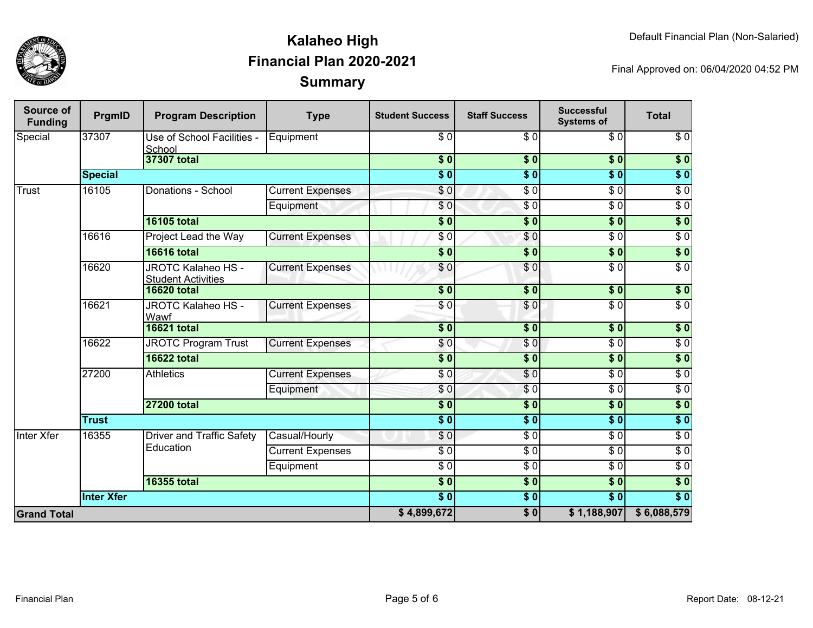

| Source of<br><b>Funding</b> | PrgmID                      | <b>Program Description</b>                             | <b>Type</b>             | <b>Student Success</b>     | <b>Staff Success</b>      | <b>Successful</b><br><b>Systems of</b> | <b>Total</b>     |
|-----------------------------|-----------------------------|--------------------------------------------------------|-------------------------|----------------------------|---------------------------|----------------------------------------|------------------|
| Special                     | 37307                       | Use of School Facilities -<br>School                   | Equipment               | \$0                        | \$0                       | \$0                                    | $\overline{\$0}$ |
|                             |                             | 37307 total                                            |                         | $\overline{\bullet}$ 0     | \$0                       | $\overline{\$0}$                       | \$0              |
|                             | <b>Special</b>              |                                                        |                         | $\overline{\phantom{0}5}$  | $\overline{\$0}$          | $\overline{\$0}$                       | $\sqrt{6}$       |
| <b>Trust</b>                | 16105<br>Donations - School | <b>Current Expenses</b>                                | $\overline{\$}0$        | $\overline{\$0}$           | $\overline{\$0}$          | $\overline{\$0}$                       |                  |
|                             |                             |                                                        | Equipment               | \$0                        | $\overline{\$0}$          | $\overline{\$0}$                       | $\sqrt{6}$       |
|                             |                             | <b>16105 total</b>                                     |                         | $\overline{\textbf{S}^0}$  | \$0                       | $\overline{\$0}$                       | $\sqrt{6}$       |
|                             | 16616                       | Project Lead the Way                                   | <b>Current Expenses</b> | \$0                        | \$0                       | $\overline{\$0}$                       | $\overline{\$0}$ |
|                             |                             | <b>16616 total</b>                                     |                         | $\overline{\textbf{S}^0}$  | $\overline{\$0}$          | $\overline{\textbf{S}^0}$              | $\sqrt{6}$       |
|                             | 16620                       | <b>JROTC Kalaheo HS -</b><br><b>Student Activities</b> | <b>Current Expenses</b> | $\overline{\$0}$           | $\overline{\$0}$          | $\overline{\$0}$                       | $\overline{\$0}$ |
|                             |                             | <b>16620 total</b>                                     |                         | $\overline{\$0}$           | $\overline{\$0}$          | $\overline{\$0}$                       | $\sqrt{6}$       |
|                             | 16621                       | JROTC Kalaheo HS -<br>Wawf                             | <b>Current Expenses</b> | \$ O                       | \$0                       | $\overline{\$0}$                       | $\sqrt{6}$       |
|                             |                             | <b>16621 total</b>                                     |                         | $\overline{\phantom{0}50}$ | $\overline{\textbf{S}^0}$ | $\overline{\$0}$                       | $\overline{\$0}$ |
|                             | 16622                       | <b>JROTC Program Trust</b>                             | <b>Current Expenses</b> | \$0                        | \$0                       | $\overline{30}$                        | $\sqrt{6}$       |
|                             |                             | <b>16622 total</b>                                     |                         | $\overline{\$0}$           | $\overline{\$0}$          | $\overline{\$0}$                       | $\overline{\$0}$ |
|                             | 27200<br><b>Athletics</b>   |                                                        | <b>Current Expenses</b> | $\overline{\$0}$           | $\overline{\$0}$          | $\overline{\$0}$                       | $\sqrt{6}$       |
|                             |                             |                                                        | Equipment               | \$0                        | $\sqrt{6}$                | $\overline{\$0}$                       | $\sqrt{6}$       |
|                             |                             | <b>27200 total</b>                                     |                         | $\overline{\$0}$           | $\overline{\$0}$          | $\overline{\$0}$                       | $\sqrt{6}$       |
|                             | <b>Trust</b>                |                                                        |                         | $\overline{\phantom{0}50}$ | $\overline{\$0}$          | $\overline{\$0}$                       | $\overline{\$0}$ |
| <b>Inter Xfer</b>           | 16355                       | Driver and Traffic Safety                              | Casual/Hourly           | \$0                        | $\overline{\$0}$          | $\overline{30}$                        | $\sqrt{6}$       |
|                             |                             | Education                                              | <b>Current Expenses</b> | \$ 0                       | $\sqrt{6}$                | $\overline{\$0}$                       | $\overline{30}$  |
|                             |                             |                                                        | Equipment               | $\overline{\$0}$           | $\overline{S}0$           | $\overline{30}$                        | $\overline{30}$  |
|                             |                             | <b>16355 total</b>                                     |                         | $\overline{\$0}$           | $\overline{\$0}$          | $\overline{\$0}$                       | $\overline{\$0}$ |
|                             | <b>Inter Xfer</b>           |                                                        |                         | $\overline{\$0}$           | $\overline{\$0}$          | $\overline{\$0}$                       | $\overline{\$0}$ |
| <b>Grand Total</b>          |                             |                                                        |                         |                            | $\overline{\$0}$          | \$1,188,907                            | \$6,088,579      |